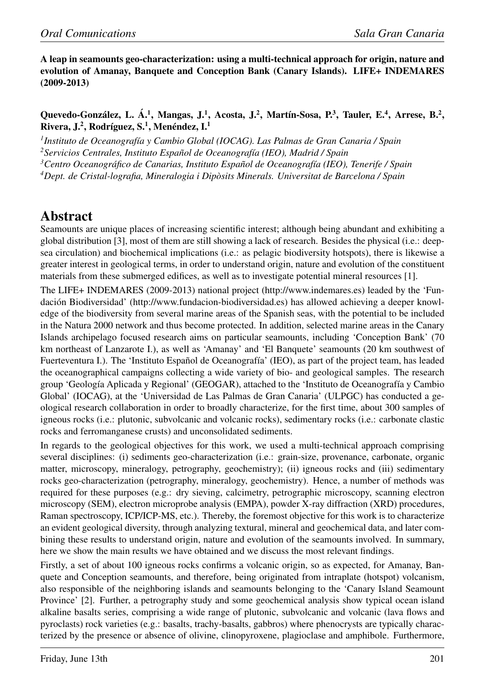A leap in seamounts geo-characterization: using a multi-technical approach for origin, nature and evolution of Amanay, Banquete and Conception Bank (Canary Islands). LIFE+ INDEMARES (2009-2013)

Quevedo-González, L. Á.<sup>1</sup>, Mangas, J.<sup>1</sup>, Acosta, J.<sup>2</sup>, Martín-Sosa, P.<sup>3</sup>, Tauler, E.<sup>4</sup>, Arrese, B.<sup>2</sup>, Rivera, J.<sup>2</sup>, Rodríguez, S.<sup>1</sup>, Menéndez, I.<sup>1</sup>

<sup>1</sup> Instituto de Oceanografía y Cambio Global (IOCAG). Las Palmas de Gran Canaria / Spain <sup>2</sup>*Servicios Centrales, Instituto Español de Oceanografía (IEO), Madrid / Spain <sup>3</sup>Centro Oceanografico de Canarias, Instituto Espa ´ nol de Oceanograf ˜ ´ıa (IEO), Tenerife / Spain*

*<sup>4</sup>Dept. de Cristal-lografia, Mineralogia i Diposits Minerals. Universitat de Barcelona / Spain `*

## Abstract

Seamounts are unique places of increasing scientific interest; although being abundant and exhibiting a global distribution [3], most of them are still showing a lack of research. Besides the physical (i.e.: deepsea circulation) and biochemical implications (i.e.: as pelagic biodiversity hotspots), there is likewise a greater interest in geological terms, in order to understand origin, nature and evolution of the constituent materials from these submerged edifices, as well as to investigate potential mineral resources [1].

The LIFE+ INDEMARES (2009-2013) national project (http://www.indemares.es) leaded by the 'Fundación Biodiversidad' (http://www.fundacion-biodiversidad.es) has allowed achieving a deeper knowledge of the biodiversity from several marine areas of the Spanish seas, with the potential to be included in the Natura 2000 network and thus become protected. In addition, selected marine areas in the Canary Islands archipelago focused research aims on particular seamounts, including 'Conception Bank' (70 km northeast of Lanzarote I.), as well as 'Amanay' and 'El Banquete' seamounts (20 km southwest of Fuerteventura I.). The 'Instituto Español de Oceanografía' (IEO), as part of the project team, has leaded the oceanographical campaigns collecting a wide variety of bio- and geological samples. The research group 'Geología Aplicada y Regional' (GEOGAR), attached to the 'Instituto de Oceanografía y Cambio Global' (IOCAG), at the 'Universidad de Las Palmas de Gran Canaria' (ULPGC) has conducted a geological research collaboration in order to broadly characterize, for the first time, about 300 samples of igneous rocks (i.e.: plutonic, subvolcanic and volcanic rocks), sedimentary rocks (i.e.: carbonate clastic rocks and ferromanganese crusts) and unconsolidated sediments.

In regards to the geological objectives for this work, we used a multi-technical approach comprising several disciplines: (i) sediments geo-characterization (i.e.: grain-size, provenance, carbonate, organic matter, microscopy, mineralogy, petrography, geochemistry); (ii) igneous rocks and (iii) sedimentary rocks geo-characterization (petrography, mineralogy, geochemistry). Hence, a number of methods was required for these purposes (e.g.: dry sieving, calcimetry, petrographic microscopy, scanning electron microscopy (SEM), electron microprobe analysis (EMPA), powder X-ray diffraction (XRD) procedures, Raman spectroscopy, ICP/ICP-MS, etc.). Thereby, the foremost objective for this work is to characterize an evident geological diversity, through analyzing textural, mineral and geochemical data, and later combining these results to understand origin, nature and evolution of the seamounts involved. In summary, here we show the main results we have obtained and we discuss the most relevant findings.

Firstly, a set of about 100 igneous rocks confirms a volcanic origin, so as expected, for Amanay, Banquete and Conception seamounts, and therefore, being originated from intraplate (hotspot) volcanism, also responsible of the neighboring islands and seamounts belonging to the 'Canary Island Seamount Province' [2]. Further, a petrography study and some geochemical analysis show typical ocean island alkaline basalts series, comprising a wide range of plutonic, subvolcanic and volcanic (lava flows and pyroclasts) rock varieties (e.g.: basalts, trachy-basalts, gabbros) where phenocrysts are typically characterized by the presence or absence of olivine, clinopyroxene, plagioclase and amphibole. Furthermore,